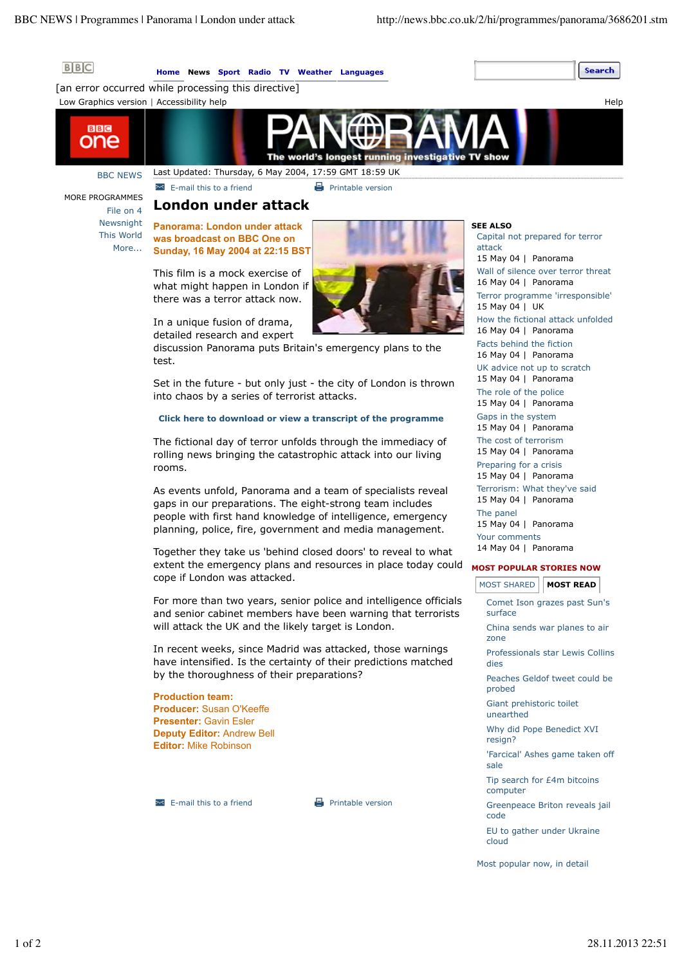Search



## **Home News Sport Radio TV Weather Languages**

[an error occurred while processing this directive]





BBC NEWS MORE PROGRAMMES

**BBC** one

File on 4

**Example 1** Printable version

# **London under attack**

Newsnight This World More... **Panorama: London under attack was broadcast on BBC One on Sunday, 16 May 2004 at 22:15 BST**

> This film is a mock exercise of what might happen in London if there was a terror attack now.

In a unique fusion of drama, detailed research and expert

discussion Panorama puts Britain's emergency plans to the test.

Set in the future - but only just - the city of London is thrown into chaos by a series of terrorist attacks.

## **Click here to download or view a transcript of the programme**

The fictional day of terror unfolds through the immediacy of rolling news bringing the catastrophic attack into our living rooms.

As events unfold, Panorama and a team of specialists reveal gaps in our preparations. The eight-strong team includes people with first hand knowledge of intelligence, emergency planning, police, fire, government and media management.

Together they take us 'behind closed doors' to reveal to what extent the emergency plans and resources in place today could cope if London was attacked.

For more than two years, senior police and intelligence officials and senior cabinet members have been warning that terrorists will attack the UK and the likely target is London.

In recent weeks, since Madrid was attacked, those warnings have intensified. Is the certainty of their predictions matched by the thoroughness of their preparations?

**Production team: Producer:** Susan O'Keeffe **Presenter:** Gavin Esler **Deputy Editor:** Andrew Bell **Editor:** Mike Robinson

 $\blacksquare$  E-mail this to a friend  $\blacksquare$  Printable version

#### **SEE ALSO**

Capital not prepared for terror attack 15 May 04 | Panorama Wall of silence over terror threat 16 May 04 | Panorama Terror programme 'irresponsible' 15 May 04 | UK How the fictional attack unfolded 16 May 04 | Panorama Facts behind the fiction 16 May 04 | Panorama UK advice not up to scratch 15 May 04 | Panorama The role of the police 15 May 04 | Panorama Gaps in the system 15 May 04 | Panorama The cost of terrorism 15 May 04 | Panorama Preparing for a crisis 15 May 04 | Panorama Terrorism: What they've said 15 May 04 | Panorama The panel 15 May 04 | Panorama Your comments 14 May 04 | Panorama

## **MOST POPULAR STORIES NOW**

| MOST SHARED   MOST READ                  |
|------------------------------------------|
| Comet Ison grazes past Sun's<br>surface  |
| China sends war planes to air<br>zone    |
| Professionals star Lewis Collins<br>dies |
| Peaches Geldof tweet could be<br>probed  |
| Giant prehistoric toilet<br>unearthed    |
| Why did Pope Benedict XVI<br>resign?     |
| 'Farcical' Ashes game taken off<br>sale  |
| Tip search for £4m bitcoins<br>computer  |
| Greenpeace Briton reveals jail<br>code   |
| EU to gather under Ukraine<br>cloud      |
| Most popular now, in detail              |